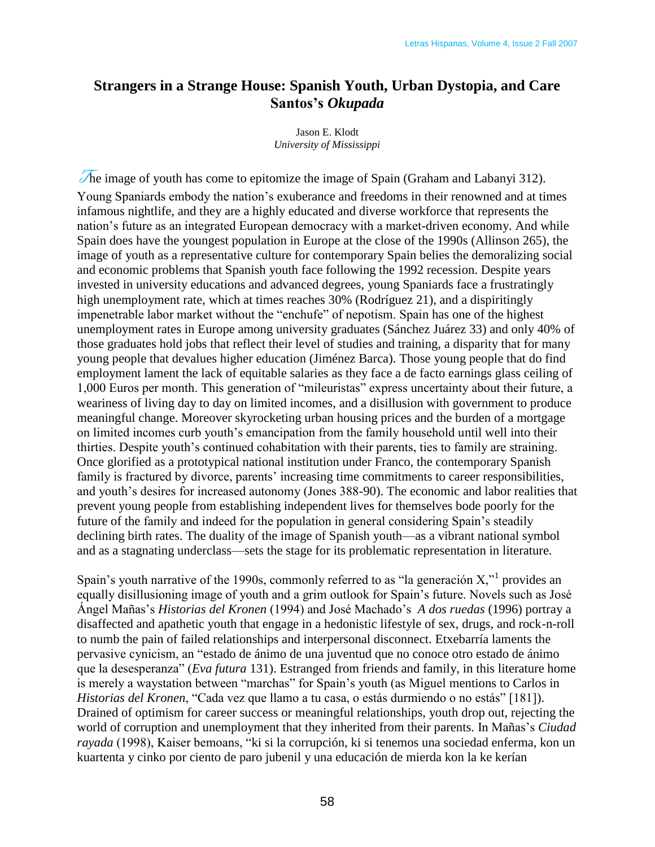## **Strangers in a Strange House: Spanish Youth, Urban Dystopia, and Care Santos's** *Okupada*

Jason E. Klodt *University of Mississippi*

The image of youth has come to epitomize the image of Spain (Graham and Labanyi 312). Young Spaniards embody the nation's exuberance and freedoms in their renowned and at times infamous nightlife, and they are a highly educated and diverse workforce that represents the nation's future as an integrated European democracy with a market-driven economy. And while Spain does have the youngest population in Europe at the close of the 1990s (Allinson 265), the image of youth as a representative culture for contemporary Spain belies the demoralizing social and economic problems that Spanish youth face following the 1992 recession. Despite years invested in university educations and advanced degrees, young Spaniards face a frustratingly high unemployment rate, which at times reaches 30% (Rodríguez 21), and a dispiritingly impenetrable labor market without the "enchufe" of nepotism. Spain has one of the highest unemployment rates in Europe among university graduates (Sánchez Juárez 33) and only 40% of those graduates hold jobs that reflect their level of studies and training, a disparity that for many young people that devalues higher education (Jiménez Barca). Those young people that do find employment lament the lack of equitable salaries as they face a de facto earnings glass ceiling of 1,000 Euros per month. This generation of "mileuristas" express uncertainty about their future, a weariness of living day to day on limited incomes, and a disillusion with government to produce meaningful change. Moreover skyrocketing urban housing prices and the burden of a mortgage on limited incomes curb youth's emancipation from the family household until well into their thirties. Despite youth's continued cohabitation with their parents, ties to family are straining. Once glorified as a prototypical national institution under Franco, the contemporary Spanish family is fractured by divorce, parents' increasing time commitments to career responsibilities, and youth's desires for increased autonomy (Jones 388-90). The economic and labor realities that prevent young people from establishing independent lives for themselves bode poorly for the future of the family and indeed for the population in general considering Spain's steadily declining birth rates. The duality of the image of Spanish youth—as a vibrant national symbol and as a stagnating underclass—sets the stage for its problematic representation in literature.

Spain's youth narrative of the 1990s, commonly referred to as "la generación  $X$ ," provides an equally disillusioning image of youth and a grim outlook for Spain's future. Novels such as José Ángel Mañas's *Historias del Kronen* (1994) and José Machado's *A dos ruedas* (1996) portray a disaffected and apathetic youth that engage in a hedonistic lifestyle of sex, drugs, and rock-n-roll to numb the pain of failed relationships and interpersonal disconnect. Etxebarría laments the pervasive cynicism, an "estado de ánimo de una juventud que no conoce otro estado de ánimo que la desesperanza" (*Eva futura* 131). Estranged from friends and family, in this literature home is merely a waystation between "marchas" for Spain's youth (as Miguel mentions to Carlos in *Historias del Kronen*, "Cada vez que llamo a tu casa, o estás durmiendo o no estás" [181]). Drained of optimism for career success or meaningful relationships, youth drop out, rejecting the world of corruption and unemployment that they inherited from their parents. In Mañas's *Ciudad*  rayada (1998), Kaiser bemoans, "ki si la corrupción, ki si tenemos una sociedad enferma, kon un kuartenta y cinko por ciento de paro jubenil y una educación de mierda kon la ke kerían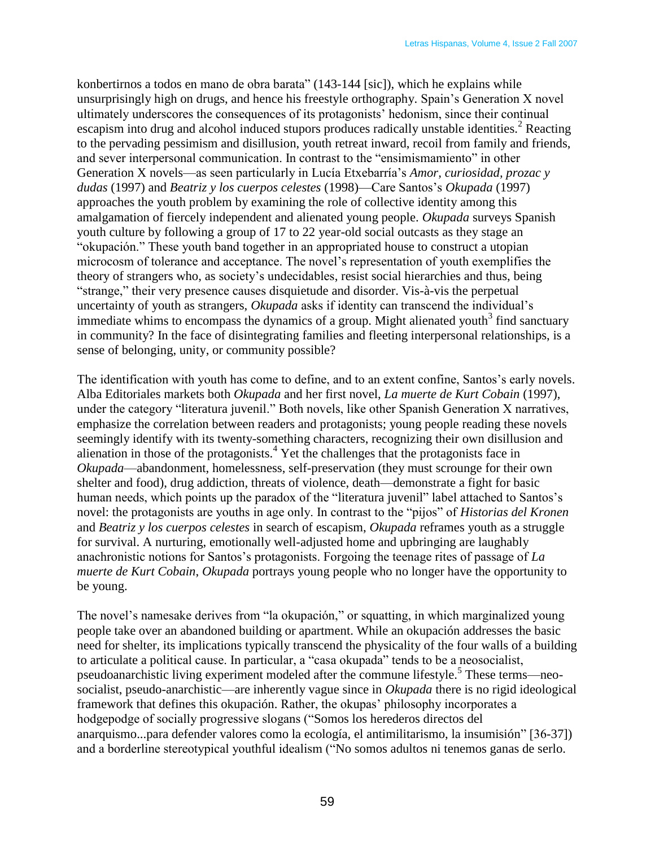konbertirnos a todos en mano de obra barata" (143-144 [sic]), which he explains while unsurprisingly high on drugs, and hence his freestyle orthography. Spain's Generation X novel ultimately underscores the consequences of its protagonists' hedonism, since their continual escapism into drug and alcohol induced stupors produces radically unstable identities.<sup>2</sup> Reacting to the pervading pessimism and disillusion, youth retreat inward, recoil from family and friends, and sever interpersonal communication. In contrast to the "ensimismamiento" in other Generation X novels—as seen particularly in Lucía Etxebarría's *Amor, curiosidad, prozac y dudas* (1997) and *Beatriz y los cuerpos celestes* (1998)—Care Santos's *Okupada* (1997) approaches the youth problem by examining the role of collective identity among this amalgamation of fiercely independent and alienated young people. *Okupada* surveys Spanish youth culture by following a group of 17 to 22 year-old social outcasts as they stage an "okupación." These youth band together in an appropriated house to construct a utopian microcosm of tolerance and acceptance. The novel's representation of youth exemplifies the theory of strangers who, as society's undecidables, resist social hierarchies and thus, being "strange," their very presence causes disquietude and disorder. Vis-à-vis the perpetual uncertainty of youth as strangers, *Okupada* asks if identity can transcend the individual's immediate whims to encompass the dynamics of a group. Might alienated youth<sup>3</sup> find sanctuary in community? In the face of disintegrating families and fleeting interpersonal relationships, is a sense of belonging, unity, or community possible?

The identification with youth has come to define, and to an extent confine, Santos's early novels. Alba Editoriales markets both *Okupada* and her first novel, *La muerte de Kurt Cobain* (1997), under the category "literatura juvenil." Both novels, like other Spanish Generation X narratives, emphasize the correlation between readers and protagonists; young people reading these novels seemingly identify with its twenty-something characters, recognizing their own disillusion and alienation in those of the protagonists.<sup>4</sup> Yet the challenges that the protagonists face in *Okupada*—abandonment, homelessness, self-preservation (they must scrounge for their own shelter and food), drug addiction, threats of violence, death—demonstrate a fight for basic human needs, which points up the paradox of the "literatura juvenil" label attached to Santos's novel: the protagonists are youths in age only. In contrast to the "pijos" of *Historias del Kronen* and *Beatriz y los cuerpos celestes* in search of escapism, *Okupada* reframes youth as a struggle for survival. A nurturing, emotionally well-adjusted home and upbringing are laughably anachronistic notions for Santos's protagonists. Forgoing the teenage rites of passage of *La muerte de Kurt Cobain*, *Okupada* portrays young people who no longer have the opportunity to be young.

The novel's namesake derives from "la okupación," or squatting, in which marginalized young people take over an abandoned building or apartment. While an okupación addresses the basic need for shelter, its implications typically transcend the physicality of the four walls of a building to articulate a political cause. In particular, a "casa okupada" tends to be a neosocialist, pseudoanarchistic living experiment modeled after the commune lifestyle.<sup>5</sup> These terms—neosocialist, pseudo-anarchistic—are inherently vague since in *Okupada* there is no rigid ideological framework that defines this okupación. Rather, the okupas' philosophy incorporates a hodgepodge of socially progressive slogans ("Somos los herederos directos del anarquismo...para defender valores como la ecología, el antimilitarismo, la insumisión" [36-37]) and a borderline stereotypical youthful idealism ("No somos adultos ni tenemos ganas de serlo.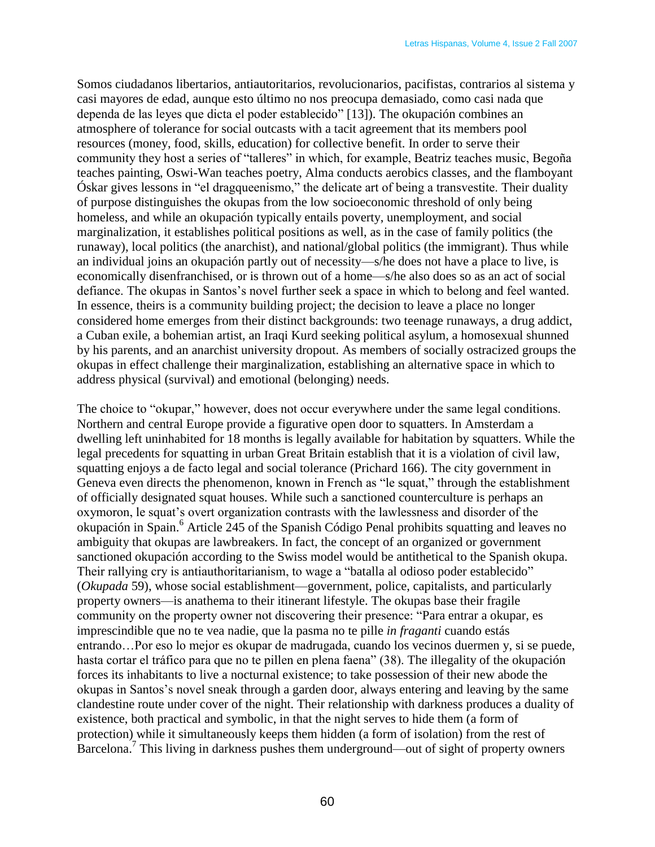Somos ciudadanos libertarios, antiautoritarios, revolucionarios, pacifistas, contrarios al sistema y casi mayores de edad, aunque esto último no nos preocupa demasiado, como casi nada que dependa de las leyes que dicta el poder establecido" [13]). The okupación combines an atmosphere of tolerance for social outcasts with a tacit agreement that its members pool resources (money, food, skills, education) for collective benefit. In order to serve their community they host a series of "talleres" in which, for example, Beatriz teaches music, Begoña teaches painting, Oswi-Wan teaches poetry, Alma conducts aerobics classes, and the flamboyant Óskar gives lessons in "el dragqueenismo," the delicate art of being a transvestite. Their duality of purpose distinguishes the okupas from the low socioeconomic threshold of only being homeless, and while an okupación typically entails poverty, unemployment, and social marginalization, it establishes political positions as well, as in the case of family politics (the runaway), local politics (the anarchist), and national/global politics (the immigrant). Thus while an individual joins an okupación partly out of necessity—s/he does not have a place to live, is economically disenfranchised, or is thrown out of a home—s/he also does so as an act of social defiance. The okupas in Santos's novel further seek a space in which to belong and feel wanted. In essence, theirs is a community building project; the decision to leave a place no longer considered home emerges from their distinct backgrounds: two teenage runaways, a drug addict, a Cuban exile, a bohemian artist, an Iraqi Kurd seeking political asylum, a homosexual shunned by his parents, and an anarchist university dropout. As members of socially ostracized groups the okupas in effect challenge their marginalization, establishing an alternative space in which to address physical (survival) and emotional (belonging) needs.

The choice to "okupar," however, does not occur everywhere under the same legal conditions. Northern and central Europe provide a figurative open door to squatters. In Amsterdam a dwelling left uninhabited for 18 months is legally available for habitation by squatters. While the legal precedents for squatting in urban Great Britain establish that it is a violation of civil law, squatting enjoys a de facto legal and social tolerance (Prichard 166). The city government in Geneva even directs the phenomenon, known in French as "le squat," through the establishment of officially designated squat houses. While such a sanctioned counterculture is perhaps an oxymoron, le squat's overt organization contrasts with the lawlessness and disorder of the okupación in Spain.<sup>6</sup> Article 245 of the Spanish Código Penal prohibits squatting and leaves no ambiguity that okupas are lawbreakers. In fact, the concept of an organized or government sanctioned okupación according to the Swiss model would be antithetical to the Spanish okupa. Their rallying cry is antiauthoritarianism, to wage a "batalla al odioso poder establecido" (*Okupada* 59), whose social establishment—government, police, capitalists, and particularly property owners—is anathema to their itinerant lifestyle. The okupas base their fragile community on the property owner not discovering their presence: "Para entrar a okupar, es imprescindible que no te vea nadie, que la pasma no te pille *in fraganti* cuando estás entrando…Por eso lo mejor es okupar de madrugada, cuando los vecinos duermen y, si se puede, hasta cortar el tráfico para que no te pillen en plena faena" (38). The illegality of the okupación forces its inhabitants to live a nocturnal existence; to take possession of their new abode the okupas in Santos's novel sneak through a garden door, always entering and leaving by the same clandestine route under cover of the night. Their relationship with darkness produces a duality of existence, both practical and symbolic, in that the night serves to hide them (a form of protection) while it simultaneously keeps them hidden (a form of isolation) from the rest of Barcelona.<sup>7</sup> This living in darkness pushes them underground—out of sight of property owners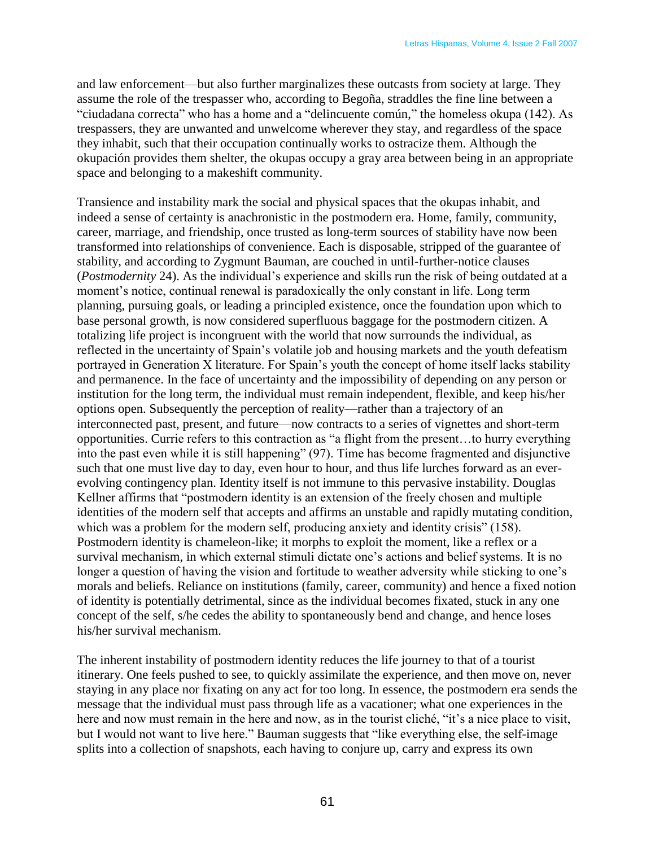and law enforcement—but also further marginalizes these outcasts from society at large. They assume the role of the trespasser who, according to Begoña, straddles the fine line between a "ciudadana correcta" who has a home and a "delincuente común," the homeless okupa (142). As trespassers, they are unwanted and unwelcome wherever they stay, and regardless of the space they inhabit, such that their occupation continually works to ostracize them. Although the okupación provides them shelter, the okupas occupy a gray area between being in an appropriate space and belonging to a makeshift community.

Transience and instability mark the social and physical spaces that the okupas inhabit, and indeed a sense of certainty is anachronistic in the postmodern era. Home, family, community, career, marriage, and friendship, once trusted as long-term sources of stability have now been transformed into relationships of convenience. Each is disposable, stripped of the guarantee of stability, and according to Zygmunt Bauman, are couched in until-further-notice clauses (*Postmodernity* 24). As the individual's experience and skills run the risk of being outdated at a moment's notice, continual renewal is paradoxically the only constant in life. Long term planning, pursuing goals, or leading a principled existence, once the foundation upon which to base personal growth, is now considered superfluous baggage for the postmodern citizen. A totalizing life project is incongruent with the world that now surrounds the individual, as reflected in the uncertainty of Spain's volatile job and housing markets and the youth defeatism portrayed in Generation X literature. For Spain's youth the concept of home itself lacks stability and permanence. In the face of uncertainty and the impossibility of depending on any person or institution for the long term, the individual must remain independent, flexible, and keep his/her options open. Subsequently the perception of reality—rather than a trajectory of an interconnected past, present, and future—now contracts to a series of vignettes and short-term opportunities. Currie refers to this contraction as "a flight from the present...to hurry everything into the past even while it is still happening" (97). Time has become fragmented and disjunctive such that one must live day to day, even hour to hour, and thus life lurches forward as an everevolving contingency plan. Identity itself is not immune to this pervasive instability. Douglas Kellner affirms that "postmodern identity is an extension of the freely chosen and multiple identities of the modern self that accepts and affirms an unstable and rapidly mutating condition, which was a problem for the modern self, producing anxiety and identity crisis" (158). Postmodern identity is chameleon-like; it morphs to exploit the moment, like a reflex or a survival mechanism, in which external stimuli dictate one's actions and belief systems. It is no longer a question of having the vision and fortitude to weather adversity while sticking to one's morals and beliefs. Reliance on institutions (family, career, community) and hence a fixed notion of identity is potentially detrimental, since as the individual becomes fixated, stuck in any one concept of the self, s/he cedes the ability to spontaneously bend and change, and hence loses his/her survival mechanism.

The inherent instability of postmodern identity reduces the life journey to that of a tourist itinerary. One feels pushed to see, to quickly assimilate the experience, and then move on, never staying in any place nor fixating on any act for too long. In essence, the postmodern era sends the message that the individual must pass through life as a vacationer; what one experiences in the here and now must remain in the here and now, as in the tourist cliché, "it's a nice place to visit, but I would not want to live here." Bauman suggests that "like everything else, the self-image splits into a collection of snapshots, each having to conjure up, carry and express its own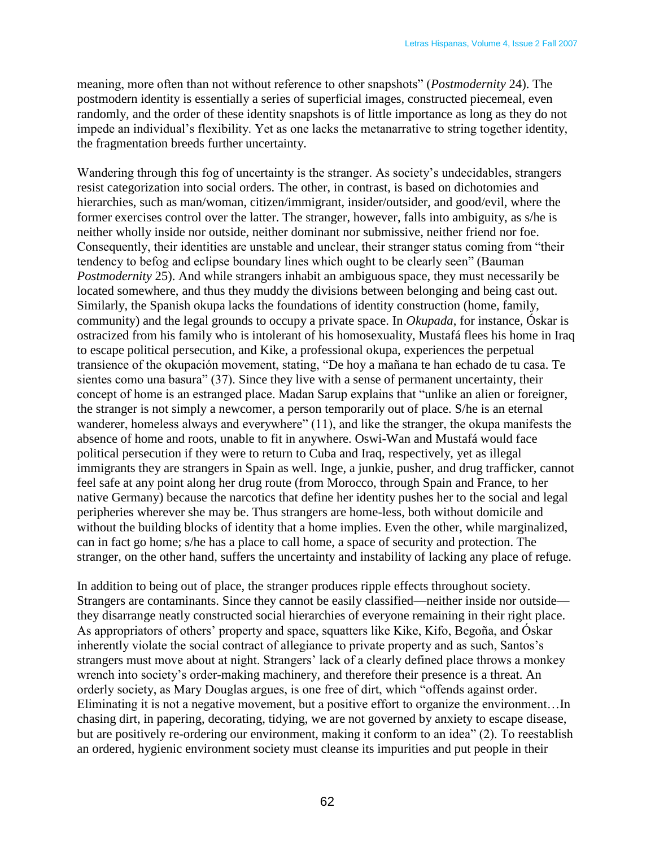meaning, more often than not without reference to other snapshots" (*Postmodernity* 24). The postmodern identity is essentially a series of superficial images, constructed piecemeal, even randomly, and the order of these identity snapshots is of little importance as long as they do not impede an individual's flexibility. Yet as one lacks the metanarrative to string together identity, the fragmentation breeds further uncertainty.

Wandering through this fog of uncertainty is the stranger. As society's undecidables, strangers resist categorization into social orders. The other, in contrast, is based on dichotomies and hierarchies, such as man/woman, citizen/immigrant, insider/outsider, and good/evil, where the former exercises control over the latter. The stranger, however, falls into ambiguity, as s/he is neither wholly inside nor outside, neither dominant nor submissive, neither friend nor foe. Consequently, their identities are unstable and unclear, their stranger status coming from "their tendency to befog and eclipse boundary lines which ought to be clearly seen" (Bauman *Postmodernity* 25). And while strangers inhabit an ambiguous space, they must necessarily be located somewhere, and thus they muddy the divisions between belonging and being cast out. Similarly, the Spanish okupa lacks the foundations of identity construction (home, family, community) and the legal grounds to occupy a private space. In *Okupada*, for instance, Óskar is ostracized from his family who is intolerant of his homosexuality, Mustafá flees his home in Iraq to escape political persecution, and Kike, a professional okupa, experiences the perpetual transience of the okupación movement, stating, "De hoy a mañana te han echado de tu casa. Te sientes como una basura" (37). Since they live with a sense of permanent uncertainty, their concept of home is an estranged place. Madan Sarup explains that "unlike an alien or foreigner, the stranger is not simply a newcomer, a person temporarily out of place. S/he is an eternal wanderer, homeless always and everywhere" (11), and like the stranger, the okupa manifests the absence of home and roots, unable to fit in anywhere. Oswi-Wan and Mustafá would face political persecution if they were to return to Cuba and Iraq, respectively, yet as illegal immigrants they are strangers in Spain as well. Inge, a junkie, pusher, and drug trafficker, cannot feel safe at any point along her drug route (from Morocco, through Spain and France, to her native Germany) because the narcotics that define her identity pushes her to the social and legal peripheries wherever she may be. Thus strangers are home-less, both without domicile and without the building blocks of identity that a home implies. Even the other, while marginalized, can in fact go home; s/he has a place to call home, a space of security and protection. The stranger, on the other hand, suffers the uncertainty and instability of lacking any place of refuge.

In addition to being out of place, the stranger produces ripple effects throughout society. Strangers are contaminants. Since they cannot be easily classified—neither inside nor outside they disarrange neatly constructed social hierarchies of everyone remaining in their right place. As appropriators of others' property and space, squatters like Kike, Kifo, Begoña, and Óskar inherently violate the social contract of allegiance to private property and as such, Santos's strangers must move about at night. Strangers' lack of a clearly defined place throws a monkey wrench into society's order-making machinery, and therefore their presence is a threat. An orderly society, as Mary Douglas argues, is one free of dirt, which "offends against order. Eliminating it is not a negative movement, but a positive effort to organize the environment…In chasing dirt, in papering, decorating, tidying, we are not governed by anxiety to escape disease, but are positively re-ordering our environment, making it conform to an idea" (2). To reestablish an ordered, hygienic environment society must cleanse its impurities and put people in their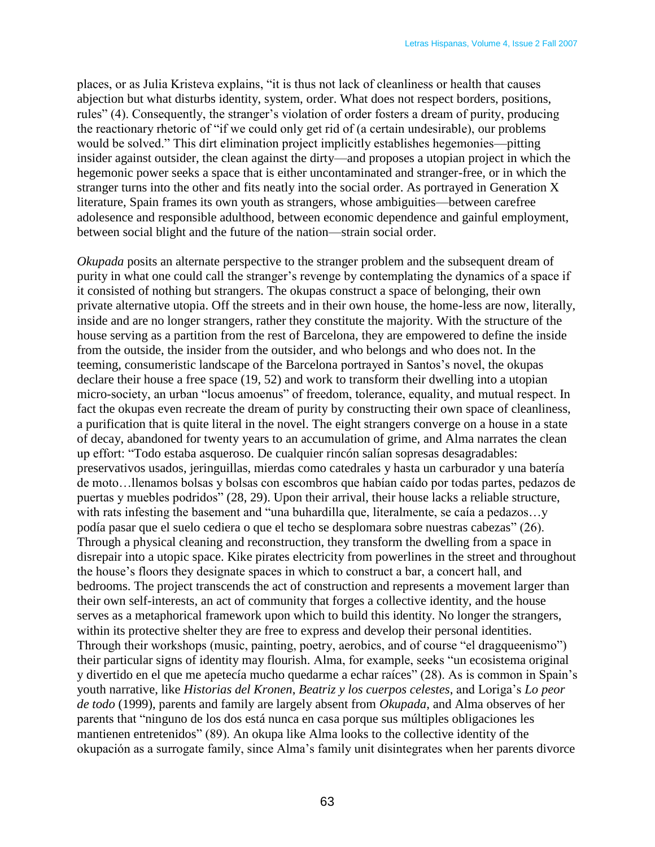places, or as Julia Kristeva explains, "it is thus not lack of cleanliness or health that causes abjection but what disturbs identity, system, order. What does not respect borders, positions, rules" (4). Consequently, the stranger's violation of order fosters a dream of purity, producing the reactionary rhetoric of "if we could only get rid of (a certain undesirable), our problems would be solved." This dirt elimination project implicitly establishes hegemonies—pitting insider against outsider, the clean against the dirty—and proposes a utopian project in which the hegemonic power seeks a space that is either uncontaminated and stranger-free, or in which the stranger turns into the other and fits neatly into the social order. As portrayed in Generation X literature, Spain frames its own youth as strangers, whose ambiguities—between carefree adolesence and responsible adulthood, between economic dependence and gainful employment, between social blight and the future of the nation—strain social order.

*Okupada* posits an alternate perspective to the stranger problem and the subsequent dream of purity in what one could call the stranger's revenge by contemplating the dynamics of a space if it consisted of nothing but strangers. The okupas construct a space of belonging, their own private alternative utopia. Off the streets and in their own house, the home-less are now, literally, inside and are no longer strangers, rather they constitute the majority. With the structure of the house serving as a partition from the rest of Barcelona, they are empowered to define the inside from the outside, the insider from the outsider, and who belongs and who does not. In the teeming, consumeristic landscape of the Barcelona portrayed in Santos's novel, the okupas declare their house a free space (19, 52) and work to transform their dwelling into a utopian micro-society, an urban "locus amoenus" of freedom, tolerance, equality, and mutual respect. In fact the okupas even recreate the dream of purity by constructing their own space of cleanliness, a purification that is quite literal in the novel. The eight strangers converge on a house in a state of decay, abandoned for twenty years to an accumulation of grime, and Alma narrates the clean up effort: "Todo estaba asqueroso. De cualquier rincón salían sopresas desagradables: preservativos usados, jeringuillas, mierdas como catedrales y hasta un carburador y una batería de moto…llenamos bolsas y bolsas con escombros que habían caído por todas partes, pedazos de puertas y muebles podridos" (28, 29). Upon their arrival, their house lacks a reliable structure, with rats infesting the basement and "una buhardilla que, literalmente, se caía a pedazos...y podía pasar que el suelo cediera o que el techo se desplomara sobre nuestras cabezas" (26). Through a physical cleaning and reconstruction, they transform the dwelling from a space in disrepair into a utopic space. Kike pirates electricity from powerlines in the street and throughout the house's floors they designate spaces in which to construct a bar, a concert hall, and bedrooms. The project transcends the act of construction and represents a movement larger than their own self-interests, an act of community that forges a collective identity, and the house serves as a metaphorical framework upon which to build this identity. No longer the strangers, within its protective shelter they are free to express and develop their personal identities. Through their workshops (music, painting, poetry, aerobics, and of course "el dragqueenismo") their particular signs of identity may flourish. Alma, for example, seeks "un ecosistema original y divertido en el que me apetecía mucho quedarme a echar raíces" (28). As is common in Spain's youth narrative, like *Historias del Kronen*, *Beatriz y los cuerpos celestes*, and Loriga's *Lo peor de todo* (1999), parents and family are largely absent from *Okupada*, and Alma observes of her parents that "ninguno de los dos está nunca en casa porque sus múltiples obligaciones les mantienen entretenidos" (89). An okupa like Alma looks to the collective identity of the okupación as a surrogate family, since Alma's family unit disintegrates when her parents divorce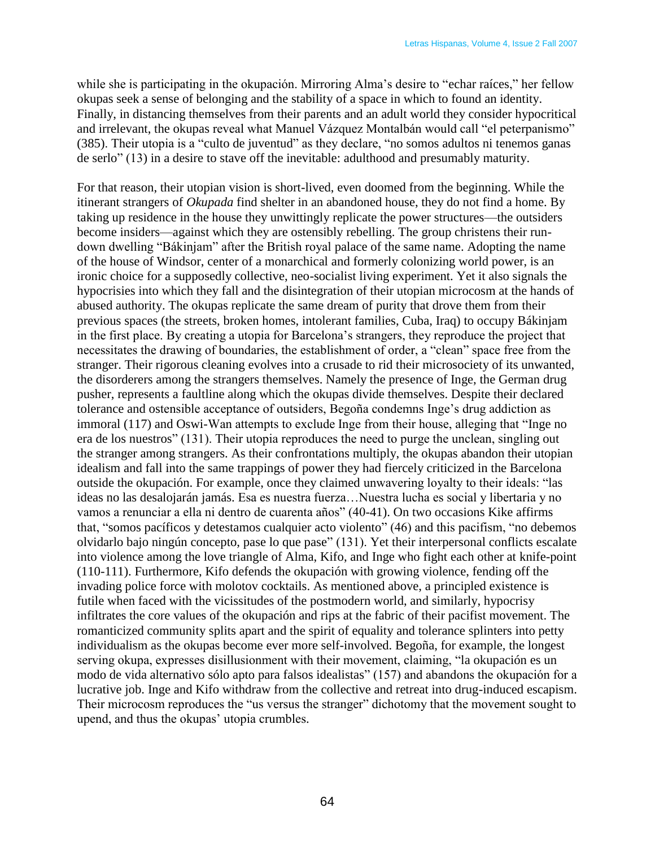while she is participating in the okupación. Mirroring Alma's desire to "echar raíces," her fellow okupas seek a sense of belonging and the stability of a space in which to found an identity. Finally, in distancing themselves from their parents and an adult world they consider hypocritical and irrelevant, the okupas reveal what Manuel Vázquez Montalbán would call "el peterpanismo" (385). Their utopia is a "culto de juventud" as they declare, "no somos adultos ni tenemos ganas de serlo" (13) in a desire to stave off the inevitable: adulthood and presumably maturity.

For that reason, their utopian vision is short-lived, even doomed from the beginning. While the itinerant strangers of *Okupada* find shelter in an abandoned house, they do not find a home. By taking up residence in the house they unwittingly replicate the power structures—the outsiders become insiders—against which they are ostensibly rebelling. The group christens their rundown dwelling "Bákinjam" after the British royal palace of the same name. Adopting the name of the house of Windsor, center of a monarchical and formerly colonizing world power, is an ironic choice for a supposedly collective, neo-socialist living experiment. Yet it also signals the hypocrisies into which they fall and the disintegration of their utopian microcosm at the hands of abused authority. The okupas replicate the same dream of purity that drove them from their previous spaces (the streets, broken homes, intolerant families, Cuba, Iraq) to occupy Bákinjam in the first place. By creating a utopia for Barcelona's strangers, they reproduce the project that necessitates the drawing of boundaries, the establishment of order, a "clean" space free from the stranger. Their rigorous cleaning evolves into a crusade to rid their microsociety of its unwanted, the disorderers among the strangers themselves. Namely the presence of Inge, the German drug pusher, represents a faultline along which the okupas divide themselves. Despite their declared tolerance and ostensible acceptance of outsiders, Begoña condemns Inge's drug addiction as immoral (117) and Oswi-Wan attempts to exclude Inge from their house, alleging that "Inge no era de los nuestros" (131). Their utopia reproduces the need to purge the unclean, singling out the stranger among strangers. As their confrontations multiply, the okupas abandon their utopian idealism and fall into the same trappings of power they had fiercely criticized in the Barcelona outside the okupación. For example, once they claimed unwavering loyalty to their ideals: "las ideas no las desalojarán jamás. Esa es nuestra fuerza…Nuestra lucha es social y libertaria y no vamos a renunciar a ella ni dentro de cuarenta años" (40-41). On two occasions Kike affirms that, "somos pacíficos y detestamos cualquier acto violento" (46) and this pacifism, "no debemos olvidarlo bajo ningún concepto, pase lo que pase" (131). Yet their interpersonal conflicts escalate into violence among the love triangle of Alma, Kifo, and Inge who fight each other at knife-point (110-111). Furthermore, Kifo defends the okupación with growing violence, fending off the invading police force with molotov cocktails. As mentioned above, a principled existence is futile when faced with the vicissitudes of the postmodern world, and similarly, hypocrisy infiltrates the core values of the okupación and rips at the fabric of their pacifist movement. The romanticized community splits apart and the spirit of equality and tolerance splinters into petty individualism as the okupas become ever more self-involved. Begoña, for example, the longest serving okupa, expresses disillusionment with their movement, claiming, "la okupación es un modo de vida alternativo sólo apto para falsos idealistas" (157) and abandons the okupación for a lucrative job. Inge and Kifo withdraw from the collective and retreat into drug-induced escapism. Their microcosm reproduces the "us versus the stranger" dichotomy that the movement sought to upend, and thus the okupas' utopia crumbles.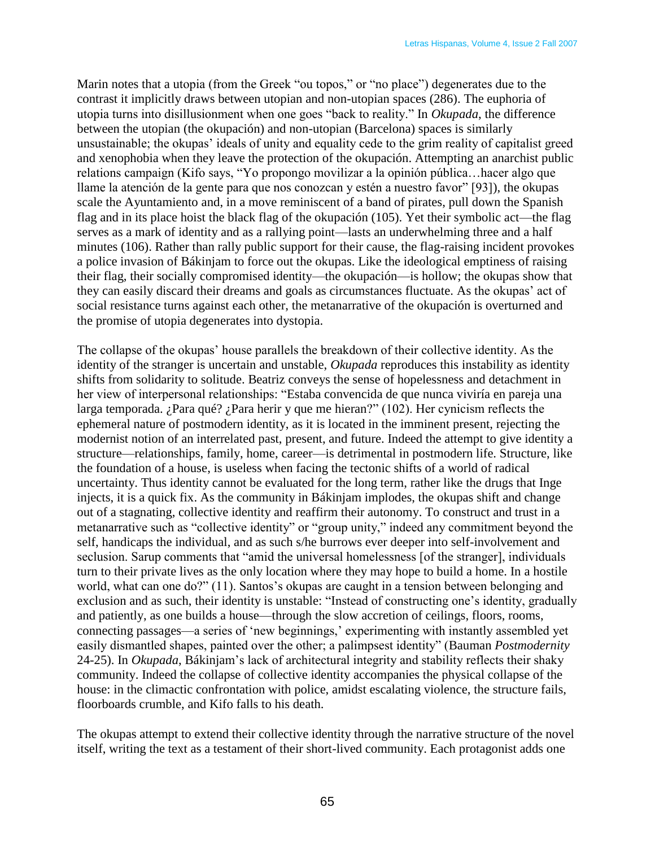Marin notes that a utopia (from the Greek "ou topos," or "no place") degenerates due to the contrast it implicitly draws between utopian and non-utopian spaces (286). The euphoria of utopia turns into disillusionment when one goes "back to reality." In *Okupada*, the difference between the utopian (the okupación) and non-utopian (Barcelona) spaces is similarly unsustainable; the okupas' ideals of unity and equality cede to the grim reality of capitalist greed and xenophobia when they leave the protection of the okupación. Attempting an anarchist public relations campaign (Kifo says, "Yo propongo movilizar a la opinión pública... hacer algo que llame la atención de la gente para que nos conozcan y estén a nuestro favor" [93]), the okupas scale the Ayuntamiento and, in a move reminiscent of a band of pirates, pull down the Spanish flag and in its place hoist the black flag of the okupación (105). Yet their symbolic act—the flag serves as a mark of identity and as a rallying point—lasts an underwhelming three and a half minutes (106). Rather than rally public support for their cause, the flag-raising incident provokes a police invasion of Bákinjam to force out the okupas. Like the ideological emptiness of raising their flag, their socially compromised identity—the okupación—is hollow; the okupas show that they can easily discard their dreams and goals as circumstances fluctuate. As the okupas' act of social resistance turns against each other, the metanarrative of the okupación is overturned and the promise of utopia degenerates into dystopia.

The collapse of the okupas' house parallels the breakdown of their collective identity. As the identity of the stranger is uncertain and unstable, *Okupada* reproduces this instability as identity shifts from solidarity to solitude. Beatriz conveys the sense of hopelessness and detachment in her view of interpersonal relationships: "Estaba convencida de que nunca viviría en pareja una larga temporada. ¿Para qué? ¿Para herir y que me hieran?" (102). Her cynicism reflects the ephemeral nature of postmodern identity, as it is located in the imminent present, rejecting the modernist notion of an interrelated past, present, and future. Indeed the attempt to give identity a structure—relationships, family, home, career—is detrimental in postmodern life. Structure, like the foundation of a house, is useless when facing the tectonic shifts of a world of radical uncertainty. Thus identity cannot be evaluated for the long term, rather like the drugs that Inge injects, it is a quick fix. As the community in Bákinjam implodes, the okupas shift and change out of a stagnating, collective identity and reaffirm their autonomy. To construct and trust in a metanarrative such as "collective identity" or "group unity," indeed any commitment beyond the self, handicaps the individual, and as such s/he burrows ever deeper into self-involvement and seclusion. Sarup comments that "amid the universal homelessness [of the stranger], individuals turn to their private lives as the only location where they may hope to build a home. In a hostile world, what can one do?" (11). Santos's okupas are caught in a tension between belonging and exclusion and as such, their identity is unstable: "Instead of constructing one's identity, gradually and patiently, as one builds a house—through the slow accretion of ceilings, floors, rooms, connecting passages—a series of 'new beginnings,' experimenting with instantly assembled yet easily dismantled shapes, painted over the other; a palimpsest identity" (Bauman *Postmodernity* 24-25). In *Okupada*, Bákinjam's lack of architectural integrity and stability reflects their shaky community. Indeed the collapse of collective identity accompanies the physical collapse of the house: in the climactic confrontation with police, amidst escalating violence, the structure fails, floorboards crumble, and Kifo falls to his death.

The okupas attempt to extend their collective identity through the narrative structure of the novel itself, writing the text as a testament of their short-lived community. Each protagonist adds one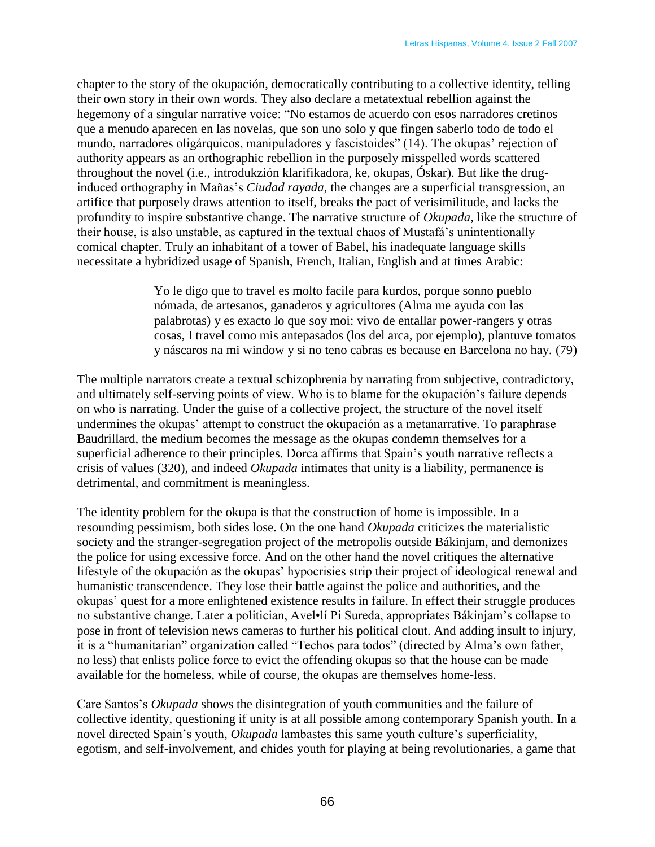chapter to the story of the okupación, democratically contributing to a collective identity, telling their own story in their own words. They also declare a metatextual rebellion against the hegemony of a singular narrative voice: "No estamos de acuerdo con esos narradores cretinos que a menudo aparecen en las novelas, que son uno solo y que fingen saberlo todo de todo el mundo, narradores oligárquicos, manipuladores y fascistoides" (14). The okupas' rejection of authority appears as an orthographic rebellion in the purposely misspelled words scattered throughout the novel (i.e., introdukzión klarifikadora, ke, okupas, Óskar). But like the druginduced orthography in Mañas's *Ciudad rayada*, the changes are a superficial transgression, an artifice that purposely draws attention to itself, breaks the pact of verisimilitude, and lacks the profundity to inspire substantive change. The narrative structure of *Okupada*, like the structure of their house, is also unstable, as captured in the textual chaos of Mustafá's unintentionally comical chapter. Truly an inhabitant of a tower of Babel, his inadequate language skills necessitate a hybridized usage of Spanish, French, Italian, English and at times Arabic:

> Yo le digo que to travel es molto facile para kurdos, porque sonno pueblo nómada, de artesanos, ganaderos y agricultores (Alma me ayuda con las palabrotas) y es exacto lo que soy moi: vivo de entallar power-rangers y otras cosas, I travel como mis antepasados (los del arca, por ejemplo), plantuve tomatos y náscaros na mi window y si no teno cabras es because en Barcelona no hay. (79)

The multiple narrators create a textual schizophrenia by narrating from subjective, contradictory, and ultimately self-serving points of view. Who is to blame for the okupación's failure depends on who is narrating. Under the guise of a collective project, the structure of the novel itself undermines the okupas' attempt to construct the okupación as a metanarrative. To paraphrase Baudrillard, the medium becomes the message as the okupas condemn themselves for a superficial adherence to their principles. Dorca affirms that Spain's youth narrative reflects a crisis of values (320), and indeed *Okupada* intimates that unity is a liability, permanence is detrimental, and commitment is meaningless.

The identity problem for the okupa is that the construction of home is impossible. In a resounding pessimism, both sides lose. On the one hand *Okupada* criticizes the materialistic society and the stranger-segregation project of the metropolis outside Bákinjam, and demonizes the police for using excessive force. And on the other hand the novel critiques the alternative lifestyle of the okupación as the okupas' hypocrisies strip their project of ideological renewal and humanistic transcendence. They lose their battle against the police and authorities, and the okupas' quest for a more enlightened existence results in failure. In effect their struggle produces no substantive change. Later a politician, Avel•lí Pi Sureda, appropriates Bákinjam's collapse to pose in front of television news cameras to further his political clout. And adding insult to injury, it is a "humanitarian" organization called "Techos para todos" (directed by Alma's own father, no less) that enlists police force to evict the offending okupas so that the house can be made available for the homeless, while of course, the okupas are themselves home-less.

Care Santos's *Okupada* shows the disintegration of youth communities and the failure of collective identity, questioning if unity is at all possible among contemporary Spanish youth. In a novel directed Spain's youth, *Okupada* lambastes this same youth culture's superficiality, egotism, and self-involvement, and chides youth for playing at being revolutionaries, a game that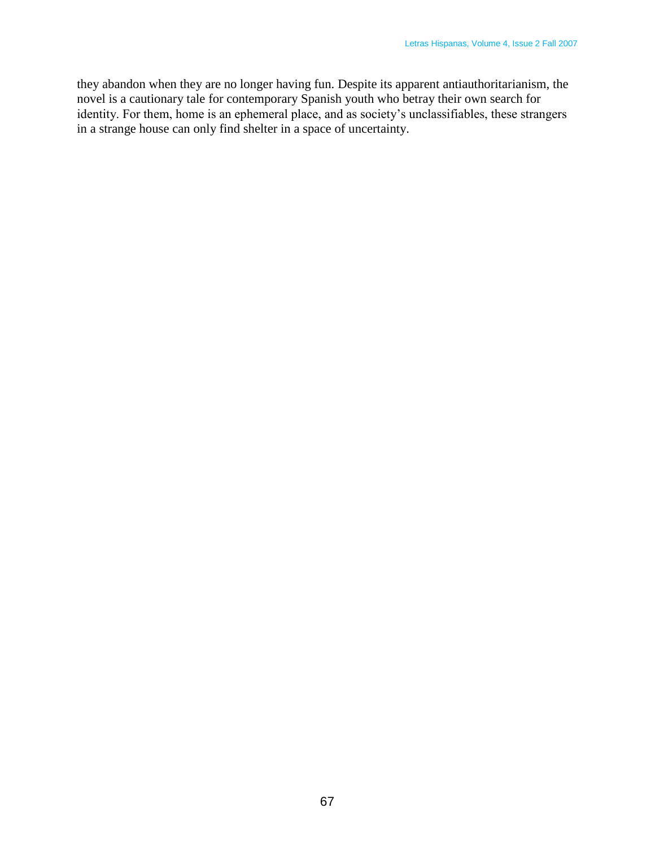they abandon when they are no longer having fun. Despite its apparent antiauthoritarianism, the novel is a cautionary tale for contemporary Spanish youth who betray their own search for identity. For them, home is an ephemeral place, and as society's unclassifiables, these strangers in a strange house can only find shelter in a space of uncertainty.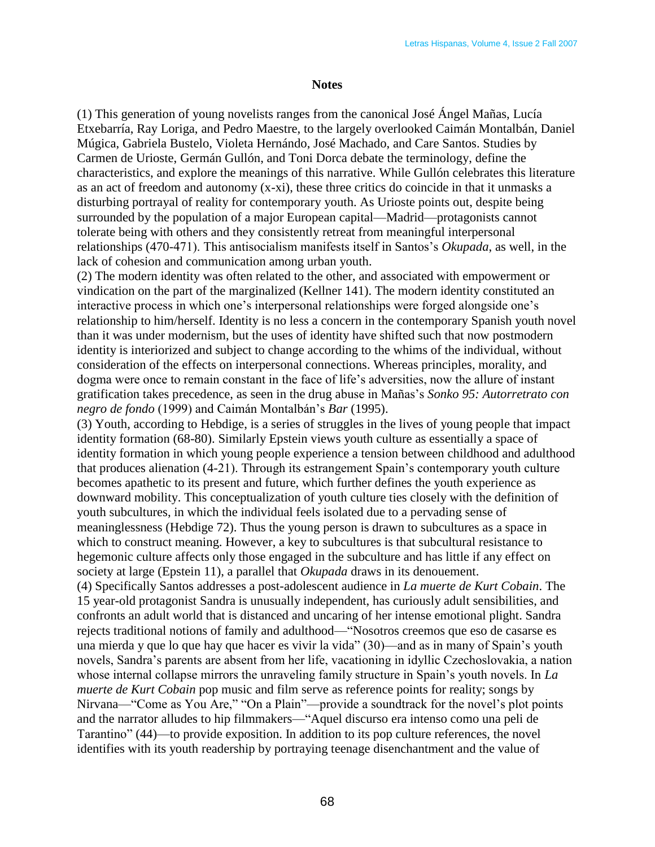## **Notes**

(1) This generation of young novelists ranges from the canonical José Ángel Mañas, Lucía Etxebarría, Ray Loriga, and Pedro Maestre, to the largely overlooked Caimán Montalbán, Daniel Múgica, Gabriela Bustelo, Violeta Hernándo, José Machado, and Care Santos. Studies by Carmen de Urioste, Germán Gullón, and Toni Dorca debate the terminology, define the characteristics, and explore the meanings of this narrative. While Gullón celebrates this literature as an act of freedom and autonomy (x-xi), these three critics do coincide in that it unmasks a disturbing portrayal of reality for contemporary youth. As Urioste points out, despite being surrounded by the population of a major European capital—Madrid—protagonists cannot tolerate being with others and they consistently retreat from meaningful interpersonal relationships (470-471). This antisocialism manifests itself in Santos's *Okupada*, as well, in the lack of cohesion and communication among urban youth.

(2) The modern identity was often related to the other, and associated with empowerment or vindication on the part of the marginalized (Kellner 141). The modern identity constituted an interactive process in which one's interpersonal relationships were forged alongside one's relationship to him/herself. Identity is no less a concern in the contemporary Spanish youth novel than it was under modernism, but the uses of identity have shifted such that now postmodern identity is interiorized and subject to change according to the whims of the individual, without consideration of the effects on interpersonal connections. Whereas principles, morality, and dogma were once to remain constant in the face of life's adversities, now the allure of instant gratification takes precedence, as seen in the drug abuse in Mañas's *Sonko 95: Autorretrato con negro de fondo* (1999) and Caimán Montalbán's *Bar* (1995).

(3) Youth, according to Hebdige, is a series of struggles in the lives of young people that impact identity formation (68-80). Similarly Epstein views youth culture as essentially a space of identity formation in which young people experience a tension between childhood and adulthood that produces alienation (4-21). Through its estrangement Spain's contemporary youth culture becomes apathetic to its present and future, which further defines the youth experience as downward mobility. This conceptualization of youth culture ties closely with the definition of youth subcultures, in which the individual feels isolated due to a pervading sense of meaninglessness (Hebdige 72). Thus the young person is drawn to subcultures as a space in which to construct meaning. However, a key to subcultures is that subcultural resistance to hegemonic culture affects only those engaged in the subculture and has little if any effect on society at large (Epstein 11), a parallel that *Okupada* draws in its denouement.

(4) Specifically Santos addresses a post-adolescent audience in *La muerte de Kurt Cobain*. The 15 year-old protagonist Sandra is unusually independent, has curiously adult sensibilities, and confronts an adult world that is distanced and uncaring of her intense emotional plight. Sandra rejects traditional notions of family and adulthood—
"Nosotros creemos que eso de casarse es una mierda y que lo que hay que hacer es vivir la vida" (30)—and as in many of Spain's youth novels, Sandra's parents are absent from her life, vacationing in idyllic Czechoslovakia, a nation whose internal collapse mirrors the unraveling family structure in Spain's youth novels. In *La muerte de Kurt Cobain* pop music and film serve as reference points for reality; songs by Nirvana—"Come as You Are," "On a Plain"—provide a soundtrack for the novel's plot points and the narrator alludes to hip filmmakers—"Aquel discurso era intenso como una peli de Tarantino" (44)—to provide exposition. In addition to its pop culture references, the novel identifies with its youth readership by portraying teenage disenchantment and the value of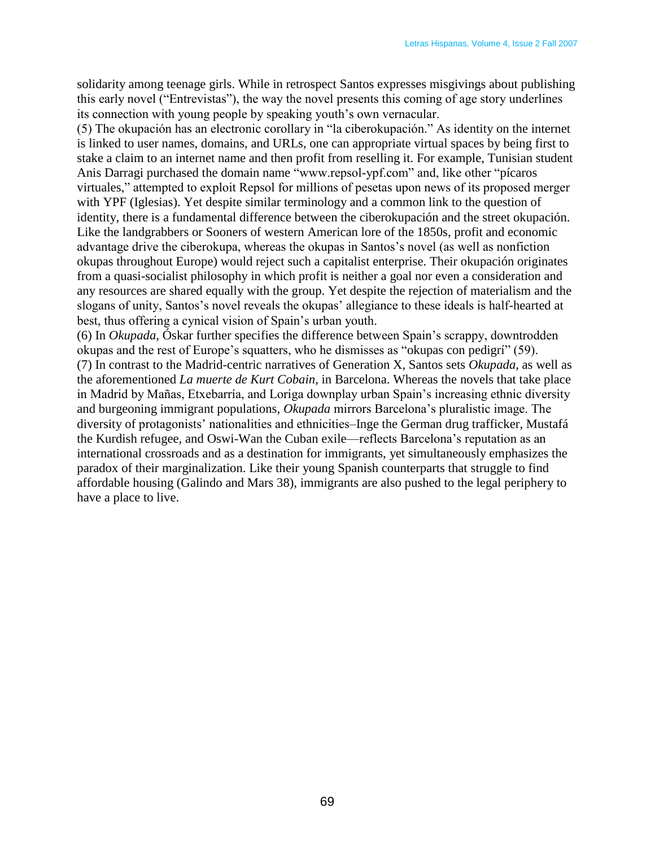solidarity among teenage girls. While in retrospect Santos expresses misgivings about publishing this early novel ("Entrevistas"), the way the novel presents this coming of age story underlines its connection with young people by speaking youth's own vernacular.

(5) The okupación has an electronic corollary in "la ciberokupación." As identity on the internet is linked to user names, domains, and URLs, one can appropriate virtual spaces by being first to stake a claim to an internet name and then profit from reselling it. For example, Tunisian student Anis Darragi purchased the domain name "www.repsol-ypf.com" and, like other "picaros" virtuales," attempted to exploit Repsol for millions of pesetas upon news of its proposed merger with YPF (Iglesias). Yet despite similar terminology and a common link to the question of identity, there is a fundamental difference between the ciberokupación and the street okupación. Like the landgrabbers or Sooners of western American lore of the 1850s, profit and economic advantage drive the ciberokupa, whereas the okupas in Santos's novel (as well as nonfiction okupas throughout Europe) would reject such a capitalist enterprise. Their okupación originates from a quasi-socialist philosophy in which profit is neither a goal nor even a consideration and any resources are shared equally with the group. Yet despite the rejection of materialism and the slogans of unity, Santos's novel reveals the okupas' allegiance to these ideals is half-hearted at best, thus offering a cynical vision of Spain's urban youth.

(6) In *Okupada*, Óskar further specifies the difference between Spain's scrappy, downtrodden okupas and the rest of Europe's squatters, who he dismisses as "okupas con pedigrí" (59). (7) In contrast to the Madrid-centric narratives of Generation X, Santos sets *Okupada*, as well as the aforementioned *La muerte de Kurt Cobain*, in Barcelona. Whereas the novels that take place in Madrid by Mañas, Etxebarría, and Loriga downplay urban Spain's increasing ethnic diversity and burgeoning immigrant populations, *Okupada* mirrors Barcelona's pluralistic image. The diversity of protagonists' nationalities and ethnicities–Inge the German drug trafficker, Mustafá the Kurdish refugee, and Oswi-Wan the Cuban exile—reflects Barcelona's reputation as an international crossroads and as a destination for immigrants, yet simultaneously emphasizes the paradox of their marginalization. Like their young Spanish counterparts that struggle to find affordable housing (Galindo and Mars 38), immigrants are also pushed to the legal periphery to have a place to live.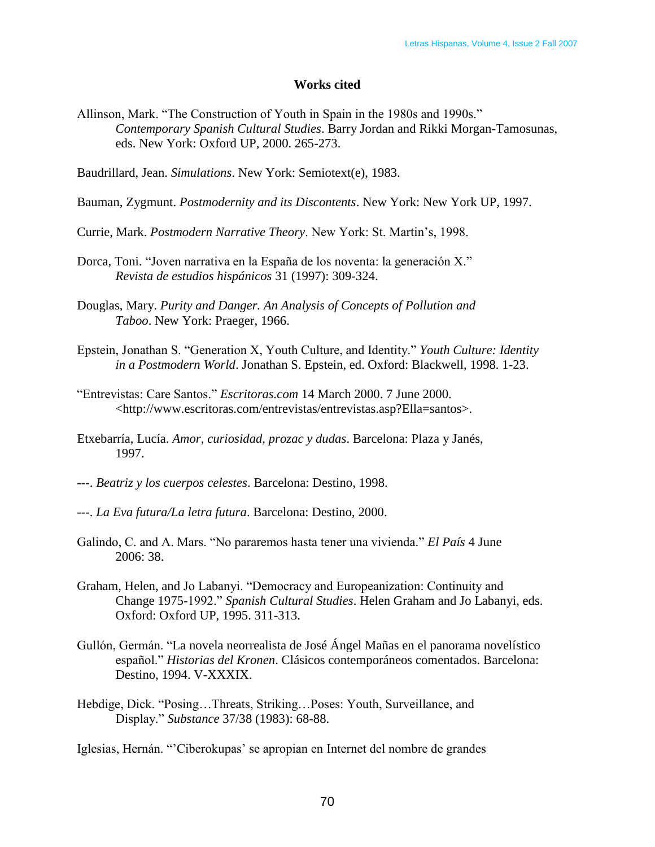## **Works cited**

Allinson, Mark. "The Construction of Youth in Spain in the 1980s and 1990s." *Contemporary Spanish Cultural Studies*. Barry Jordan and Rikki Morgan-Tamosunas, eds. New York: Oxford UP, 2000. 265-273.

Baudrillard, Jean. *Simulations*. New York: Semiotext(e), 1983.

- Bauman, Zygmunt. *Postmodernity and its Discontents*. New York: New York UP, 1997.
- Currie, Mark. *Postmodern Narrative Theory*. New York: St. Martin's, 1998.
- Dorca, Toni. "Joven narrativa en la España de los noventa: la generación X." *Revista de estudios hispánicos* 31 (1997): 309-324.
- Douglas, Mary. *Purity and Danger. An Analysis of Concepts of Pollution and Taboo*. New York: Praeger, 1966.
- Epstein, Jonathan S. "Generation X, Youth Culture, and Identity." *Youth Culture: Identity in a Postmodern World*. Jonathan S. Epstein, ed. Oxford: Blackwell, 1998. 1-23.
- ―Entrevistas: Care Santos.‖ *Escritoras.com* 14 March 2000. 7 June 2000. <http://www.escritoras.com/entrevistas/entrevistas.asp?Ella=santos>.
- Etxebarría, Lucía. *Amor, curiosidad, prozac y dudas*. Barcelona: Plaza y Janés, 1997.
- ---. *Beatriz y los cuerpos celestes*. Barcelona: Destino, 1998.
- ---. *La Eva futura/La letra futura*. Barcelona: Destino, 2000.
- Galindo, C. and A. Mars. "No pararemos hasta tener una vivienda." *El País* 4 June 2006: 38.
- Graham, Helen, and Jo Labanyi. "Democracy and Europeanization: Continuity and Change 1975-1992.‖ *Spanish Cultural Studies*. Helen Graham and Jo Labanyi, eds. Oxford: Oxford UP, 1995. 311-313.
- Gullón, Germán. ―La novela neorrealista de José Ángel Mañas en el panorama novelístico español." *Historias del Kronen*. Clásicos contemporáneos comentados. Barcelona: Destino, 1994. V-XXXIX.
- Hebdige, Dick. "Posing...Threats, Striking...Poses: Youth, Surveillance, and Display.‖ *Substance* 37/38 (1983): 68-88.

Iglesias, Hernán. ―'Ciberokupas' se apropian en Internet del nombre de grandes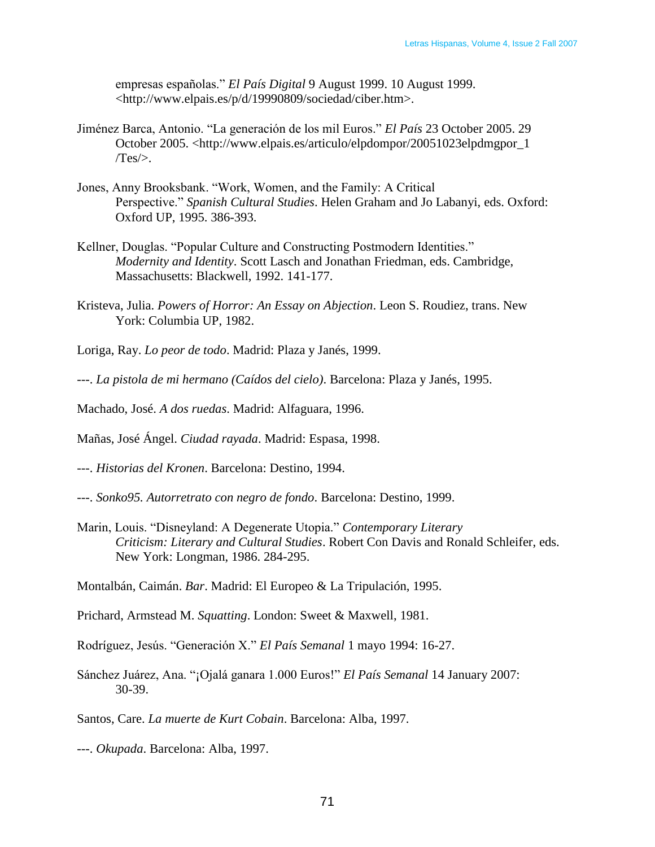empresas españolas.‖ *El País Digital* 9 August 1999. 10 August 1999. <http://www.elpais.es/p/d/19990809/sociedad/ciber.htm>.

- Jiménez Barca, Antonio. "La generación de los mil Euros." El País 23 October 2005. 29 October 2005. <http://www.elpais.es/articulo/elpdompor/20051023elpdmgpor\_1  $Tes$ .
- Jones, Anny Brooksbank. "Work, Women, and the Family: A Critical Perspective." Spanish Cultural Studies. Helen Graham and Jo Labanyi, eds. Oxford: Oxford UP, 1995. 386-393.
- Kellner, Douglas. "Popular Culture and Constructing Postmodern Identities." *Modernity and Identity*. Scott Lasch and Jonathan Friedman, eds. Cambridge, Massachusetts: Blackwell, 1992. 141-177.
- Kristeva, Julia. *Powers of Horror: An Essay on Abjection*. Leon S. Roudiez, trans. New York: Columbia UP, 1982.
- Loriga, Ray. *Lo peor de todo*. Madrid: Plaza y Janés, 1999.
- ---. *La pistola de mi hermano (Caídos del cielo)*. Barcelona: Plaza y Janés, 1995.
- Machado, José. *A dos ruedas*. Madrid: Alfaguara, 1996.
- Mañas, José Ángel. *Ciudad rayada*. Madrid: Espasa, 1998.
- ---. *Historias del Kronen*. Barcelona: Destino, 1994.
- ---. *Sonko95. Autorretrato con negro de fondo*. Barcelona: Destino, 1999.
- Marin, Louis. "Disneyland: A Degenerate Utopia." *Contemporary Literary Criticism: Literary and Cultural Studies*. Robert Con Davis and Ronald Schleifer, eds. New York: Longman, 1986. 284-295.
- Montalbán, Caimán. *Bar*. Madrid: El Europeo & La Tripulación, 1995.
- Prichard, Armstead M. *Squatting*. London: Sweet & Maxwell, 1981.
- Rodríguez, Jesús. ―Generación X.‖ *El País Semanal* 1 mayo 1994: 16-27.
- Sánchez Juárez, Ana. "¡Ojalá ganara 1.000 Euros!" *El País Semanal* 14 January 2007: 30-39.

Santos, Care. *La muerte de Kurt Cobain*. Barcelona: Alba, 1997.

---. *Okupada*. Barcelona: Alba, 1997.